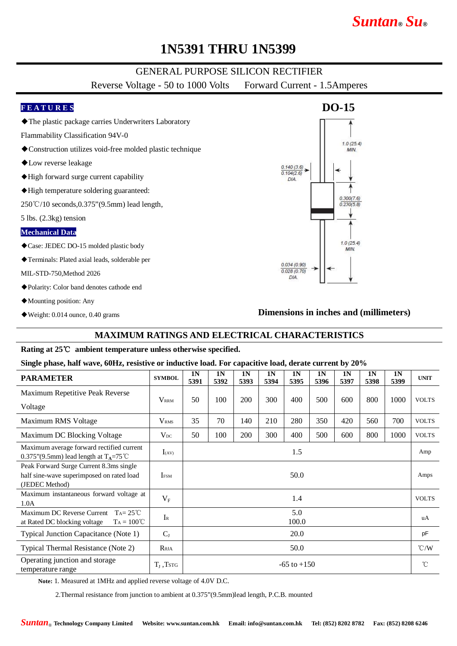## *Suntan***®** *Su***®**

### **1N5391 THRU 1N5399**

#### GENERAL PURPOSE SILICON RECTIFIER

Reverse Voltage - 50 to 1000 Volts Forward Current - 1.5Amperes

#### **F E A T U R E S**

- ◆The plastic package carries Underwriters Laboratory
- Flammability Classification 94V-0
- ◆Construction utilizes void-free molded plastic technique
- ◆Low reverse leakage
- ◆High forward surge current capability
- ◆High temperature soldering guaranteed:

250℃/10 seconds,0.375"(9.5mm) lead length,

5 lbs. (2.3kg) tension

#### **Mechanical Data**

- ◆Case: JEDEC DO-15 molded plastic body
- ◆Terminals: Plated axial leads, solderable per

MIL-STD-750,Method 2026

- ◆Polarity: Color band denotes cathode end
- ◆Mounting position: Any
- ◆Weight: 0.014 ounce, 0.40 grams

### DIA.  $0.300(7.6)$  $0.230(5.8)$  $1.0(25.4)$ MIN  $0.034(0.90)$  $0.028(0.70)$  $DIA$

 $0.140(3.6)$  $0.104(2.6)$ 

**DO-15**

 $1.0(25.4)$ **MIN** 

#### **Dimensions in inches and (millimeters)**

#### **MAXIMUM RATINGS AND ELECTRICAL CHARACTERISTICS**

#### **Rating at 25**℃ **ambient temperature unless otherwise specified.**

#### **Single phase, half wave, 60Hz, resistive or inductive load. For capacitive load, derate current by 20%**

| <b>PARAMETER</b>                                                                                       | <b>SYMBOL</b>               | 1 <sub>N</sub><br>5391 | 1 <sub>N</sub><br>5392 | 1 <sub>N</sub><br>5393 | 1 <sub>N</sub><br>5394 | 1 <sub>N</sub><br>5395 | 1 <sub>N</sub><br>5396 | 1 <sub>N</sub><br>5397 | 1 <sub>N</sub><br>5398 | 1 <sub>N</sub><br>5399 | <b>UNIT</b>   |
|--------------------------------------------------------------------------------------------------------|-----------------------------|------------------------|------------------------|------------------------|------------------------|------------------------|------------------------|------------------------|------------------------|------------------------|---------------|
| Maximum Repetitive Peak Reverse                                                                        | <b>V</b> <sub>RRM</sub>     | 50                     | 100                    | 200                    | 300                    | 400                    | 500                    | 600                    | 800                    | 1000                   | <b>VOLTS</b>  |
| Voltage                                                                                                |                             |                        |                        |                        |                        |                        |                        |                        |                        |                        |               |
| Maximum RMS Voltage                                                                                    | V <sub>RMS</sub>            | 35                     | 70                     | 140                    | 210                    | 280                    | 350                    | 420                    | 560                    | 700                    | <b>VOLTS</b>  |
| Maximum DC Blocking Voltage                                                                            | $V_{DC}$                    | 50                     | 100                    | 200                    | 300                    | 400                    | 500                    | 600                    | 800                    | 1000                   | <b>VOLTS</b>  |
| Maximum average forward rectified current<br>0.375"(9.5mm) lead length at $T_A = 75^{\circ}$ C         | $I_{(AV)}$                  | 1.5                    |                        |                        |                        |                        |                        |                        |                        |                        | Amp           |
| Peak Forward Surge Current 8.3ms single<br>half sine-wave superimposed on rated load<br>(JEDEC Method) | <b>IFSM</b>                 | 50.0                   |                        |                        |                        |                        |                        |                        |                        |                        | Amps          |
| Maximum instantaneous forward voltage at<br>1.0A                                                       | $V_{\rm F}$                 | 1.4                    |                        |                        |                        |                        |                        |                        |                        |                        | <b>VOLTS</b>  |
| Maximum DC Reverse Current $Ta = 25^{\circ}C$<br>$T_A = 100^{\circ}C$<br>at Rated DC blocking voltage  | $I_{R}$                     | 5.0<br>100.0           |                        |                        |                        |                        |                        |                        |                        |                        | uA            |
| Typical Junction Capacitance (Note 1)                                                                  | $C_{J}$                     | 20.0                   |                        |                        |                        |                        |                        |                        |                        |                        | pF            |
| Typical Thermal Resistance (Note 2)                                                                    | $R_{\theta JA}$             | 50.0                   |                        |                        |                        |                        |                        |                        |                        |                        | $\degree$ C/W |
| Operating junction and storage<br>temperature range                                                    | $T_{\rm J}$ , $T_{\rm STG}$ | $-65$ to $+150$        |                        |                        |                        |                        |                        |                        |                        |                        | $^{\circ}$ C  |

**Note:** 1. Measured at 1MHz and applied reverse voltage of 4.0V D.C.

2.Thermal resistance from junction to ambient at 0.375"(9.5mm)lead length, P.C.B. mounted